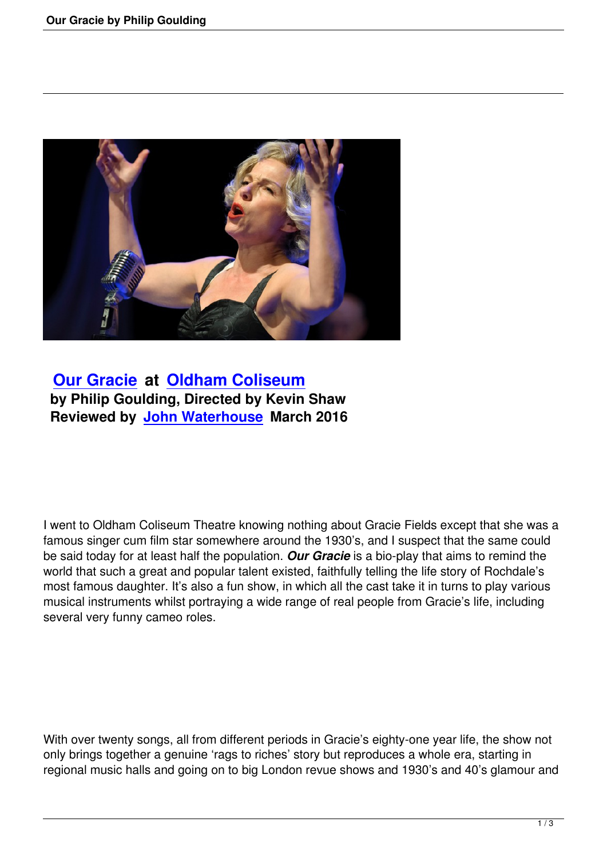

 **Our Gracie at Oldham Coliseum by Philip Goulding, Directed by Kevin Shaw [Reviewed by](our-gracie-by-philip-goulding.html) Jo[hn Waterhouse March](http://www.coliseum.org.uk/) 2016**

I went to Oldham Coliseum Theatre knowing nothing about Gracie Fields except that she was a famous singer cum film star somewhere around the 1930's, and I suspect that the same could be said today for at least half the population. *Our Gracie* is a bio-play that aims to remind the world that such a great and popular talent existed, faithfully telling the life story of Rochdale's most famous daughter. It's also a fun show, in which all the cast take it in turns to play various musical instruments whilst portraying a wide range of real people from Gracie's life, including several very funny cameo roles.

With over twenty songs, all from different periods in Gracie's eighty-one year life, the show not only brings together a genuine 'rags to riches' story but reproduces a whole era, starting in regional music halls and going on to big London revue shows and 1930's and 40's glamour and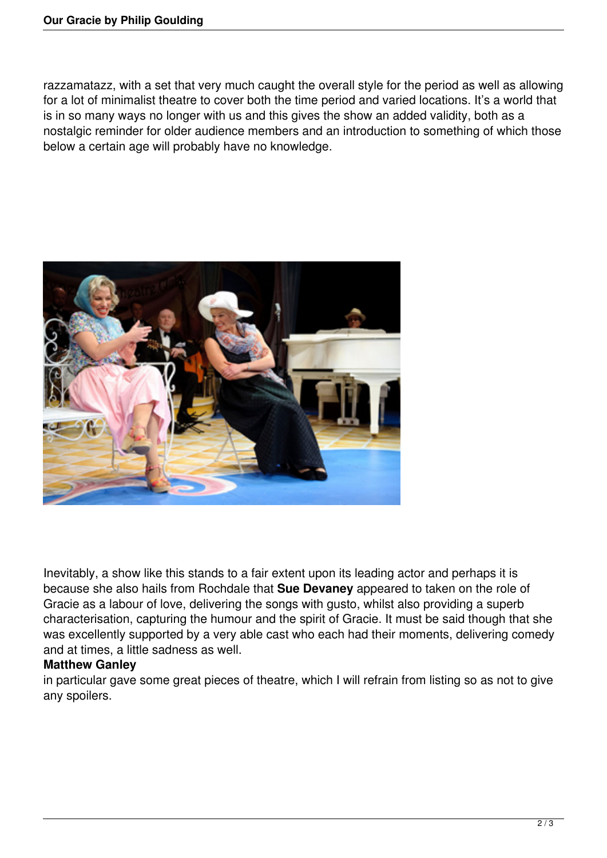razzamatazz, with a set that very much caught the overall style for the period as well as allowing for a lot of minimalist theatre to cover both the time period and varied locations. It's a world that is in so many ways no longer with us and this gives the show an added validity, both as a nostalgic reminder for older audience members and an introduction to something of which those below a certain age will probably have no knowledge.



Inevitably, a show like this stands to a fair extent upon its leading actor and perhaps it is because she also hails from Rochdale that **Sue Devaney** appeared to taken on the role of Gracie as a labour of love, delivering the songs with gusto, whilst also providing a superb characterisation, capturing the humour and the spirit of Gracie. It must be said though that she was excellently supported by a very able cast who each had their moments, delivering comedy and at times, a little sadness as well.

## **Matthew Ganley**

in particular gave some great pieces of theatre, which I will refrain from listing so as not to give any spoilers.